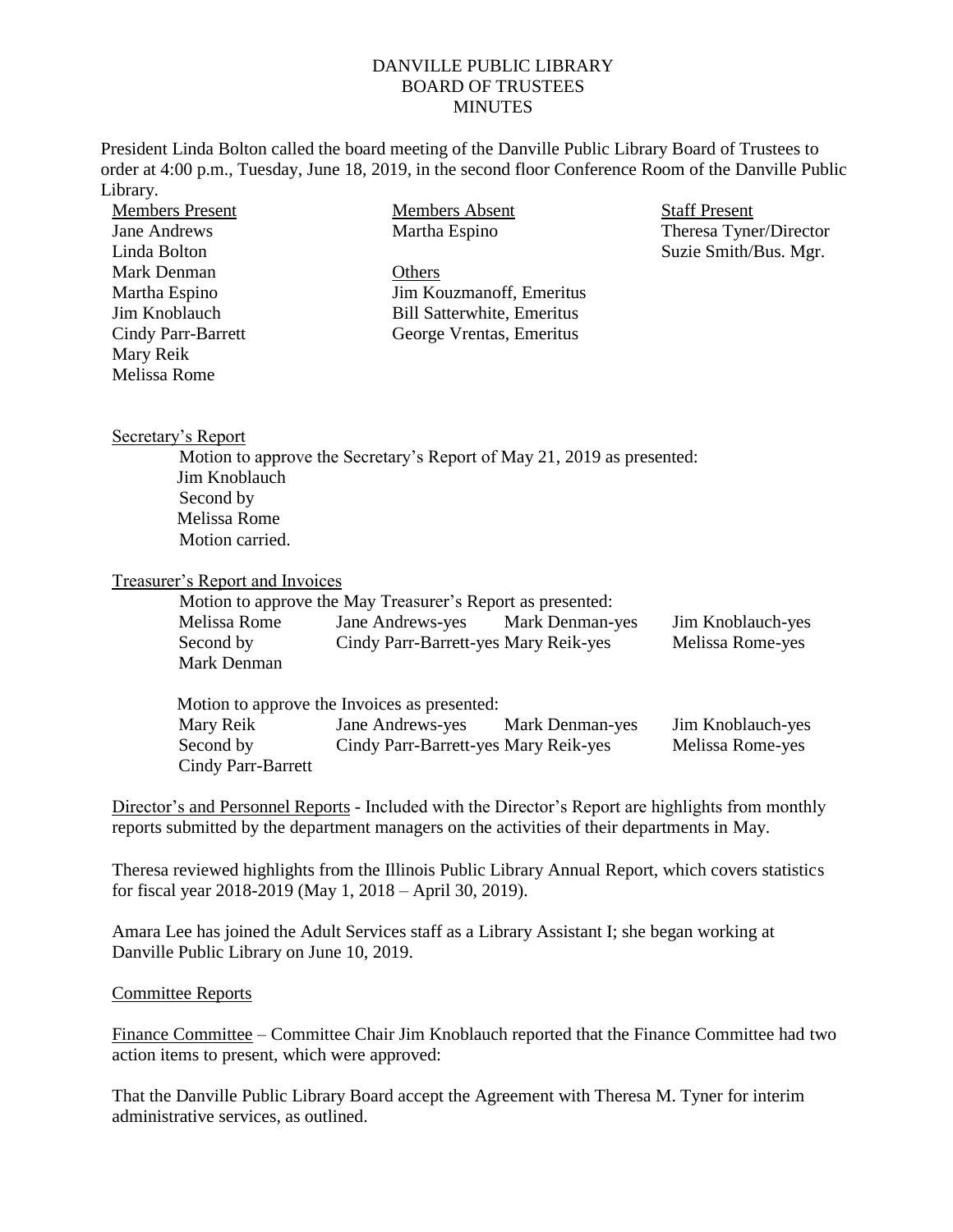## DANVILLE PUBLIC LIBRARY BOARD OF TRUSTEES **MINUTES**

President Linda Bolton called the board meeting of the Danville Public Library Board of Trustees to order at 4:00 p.m., Tuesday, June 18, 2019, in the second floor Conference Room of the Danville Public Library. Members Absent  $\sim$   $\sim$ 

| <b>Members Absent</b><br><b>Members Present</b>    |                                                                        | <b>Staff Present</b>   |  |
|----------------------------------------------------|------------------------------------------------------------------------|------------------------|--|
| <b>Jane Andrews</b>                                | Martha Espino                                                          | Theresa Tyner/Director |  |
| Linda Bolton                                       |                                                                        | Suzie Smith/Bus. Mgr.  |  |
| <b>Mark Denman</b><br>Others                       |                                                                        |                        |  |
| Martha Espino<br>Jim Kouzmanoff, Emeritus          |                                                                        |                        |  |
| Jim Knoblauch<br><b>Bill Satterwhite, Emeritus</b> |                                                                        |                        |  |
| Cindy Parr-Barrett<br>George Vrentas, Emeritus     |                                                                        |                        |  |
| Mary Reik                                          |                                                                        |                        |  |
| <b>Melissa Rome</b>                                |                                                                        |                        |  |
|                                                    |                                                                        |                        |  |
| Secretary's Report                                 |                                                                        |                        |  |
|                                                    | Motion to approve the Secretary's Report of May 21, 2019 as presented: |                        |  |
| Jim Knoblauch                                      |                                                                        |                        |  |
| Second by                                          |                                                                        |                        |  |
| <b>Melissa Rome</b>                                |                                                                        |                        |  |
| Motion carried.                                    |                                                                        |                        |  |
| <b>Treasurer's Report and Invoices</b>             |                                                                        |                        |  |
|                                                    | Motion to approve the May Treasurer's Report as presented:             |                        |  |
| Melissa Rome                                       | Jane Andrews-yes<br><b>Mark Denman-yes</b>                             | Jim Knoblauch-yes      |  |
| Second by                                          | Cindy Parr-Barrett-yes Mary Reik-yes                                   | Melissa Rome-yes       |  |
| Mark Denman                                        |                                                                        |                        |  |
|                                                    |                                                                        |                        |  |
|                                                    | Motion to approve the Invoices as presented:                           |                        |  |
| Mary Reik                                          | Jane Andrews-yes<br>Mark Denman-yes                                    | Jim Knoblauch-yes      |  |
| Second by                                          | Cindy Parr-Barrett-yes Mary Reik-yes                                   | Melissa Rome-yes       |  |
| Cindy Parr-Barrett                                 |                                                                        |                        |  |
|                                                    |                                                                        |                        |  |

Director's and Personnel Reports - Included with the Director's Report are highlights from monthly reports submitted by the department managers on the activities of their departments in May.

Theresa reviewed highlights from the Illinois Public Library Annual Report, which covers statistics for fiscal year 2018-2019 (May 1, 2018 – April 30, 2019).

Amara Lee has joined the Adult Services staff as a Library Assistant I; she began working at Danville Public Library on June 10, 2019.

## Committee Reports

Finance Committee – Committee Chair Jim Knoblauch reported that the Finance Committee had two action items to present, which were approved:

That the Danville Public Library Board accept the Agreement with Theresa M. Tyner for interim administrative services, as outlined.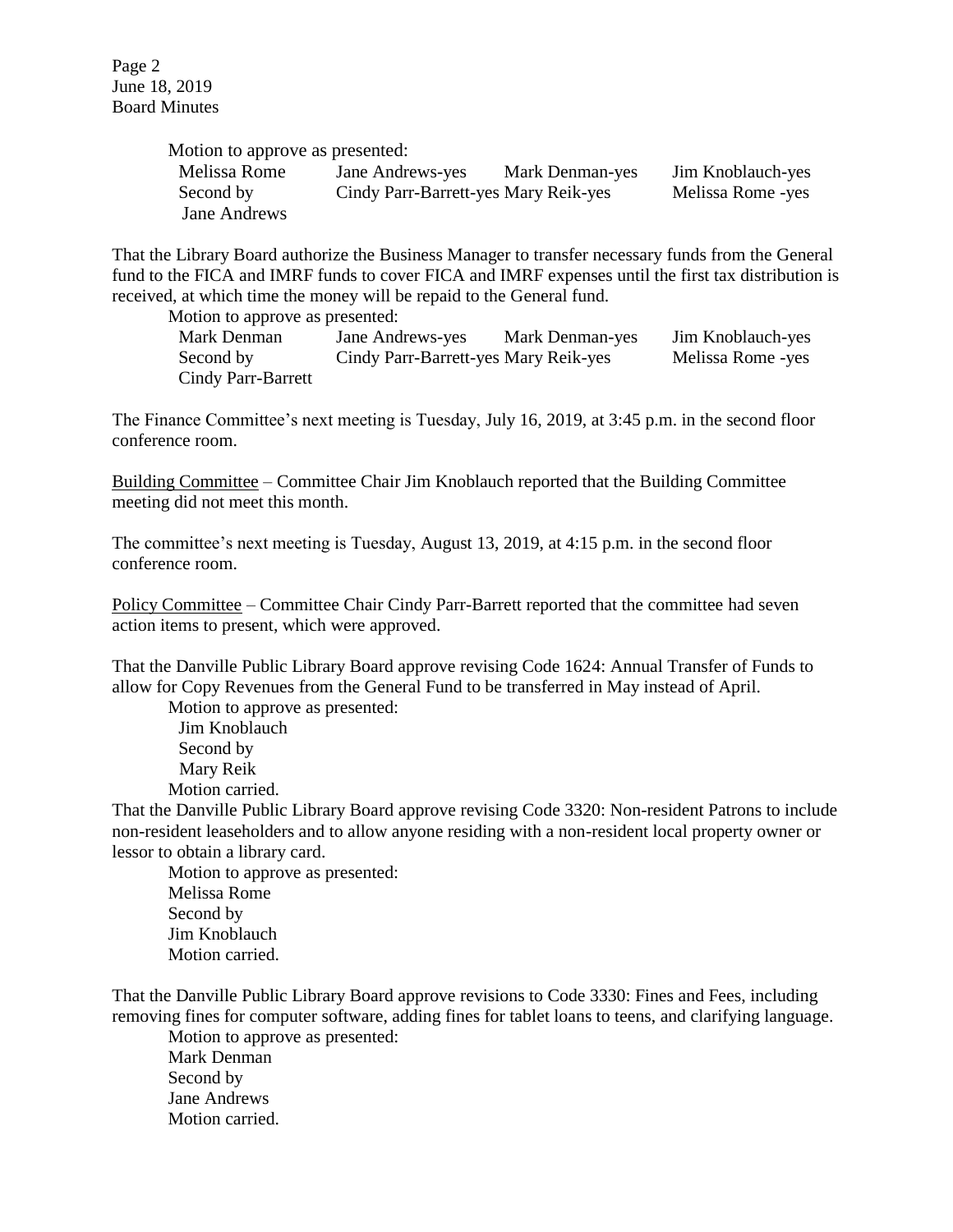| Motion to approve as presented: |                                      |                 |                   |
|---------------------------------|--------------------------------------|-----------------|-------------------|
| Melissa Rome                    | Jane Andrews-yes                     | Mark Denman-yes | Jim Knoblauch-yes |
| Second by                       | Cindy Parr-Barrett-yes Mary Reik-yes |                 | Melissa Rome -yes |
| Jane Andrews                    |                                      |                 |                   |

That the Library Board authorize the Business Manager to transfer necessary funds from the General fund to the FICA and IMRF funds to cover FICA and IMRF expenses until the first tax distribution is received, at which time the money will be repaid to the General fund.

Motion to approve as presented:

Mark Denman Jane Andrews-yes Mark Denman-yes Jim Knoblauch-yes Second by Cindy Parr-Barrett-yes Mary Reik-yes Melissa Rome -yes Cindy Parr-Barrett

The Finance Committee's next meeting is Tuesday, July 16, 2019, at 3:45 p.m. in the second floor conference room.

Building Committee – Committee Chair Jim Knoblauch reported that the Building Committee meeting did not meet this month.

The committee's next meeting is Tuesday, August 13, 2019, at 4:15 p.m. in the second floor conference room.

Policy Committee – Committee Chair Cindy Parr-Barrett reported that the committee had seven action items to present, which were approved.

That the Danville Public Library Board approve revising Code 1624: Annual Transfer of Funds to allow for Copy Revenues from the General Fund to be transferred in May instead of April.

Motion to approve as presented: Jim Knoblauch Second by Mary Reik Motion carried.

That the Danville Public Library Board approve revising Code 3320: Non-resident Patrons to include non-resident leaseholders and to allow anyone residing with a non-resident local property owner or lessor to obtain a library card.

Motion to approve as presented: Melissa Rome Second by Jim Knoblauch Motion carried.

That the Danville Public Library Board approve revisions to Code 3330: Fines and Fees, including removing fines for computer software, adding fines for tablet loans to teens, and clarifying language.

Motion to approve as presented: Mark Denman Second by Jane Andrews Motion carried.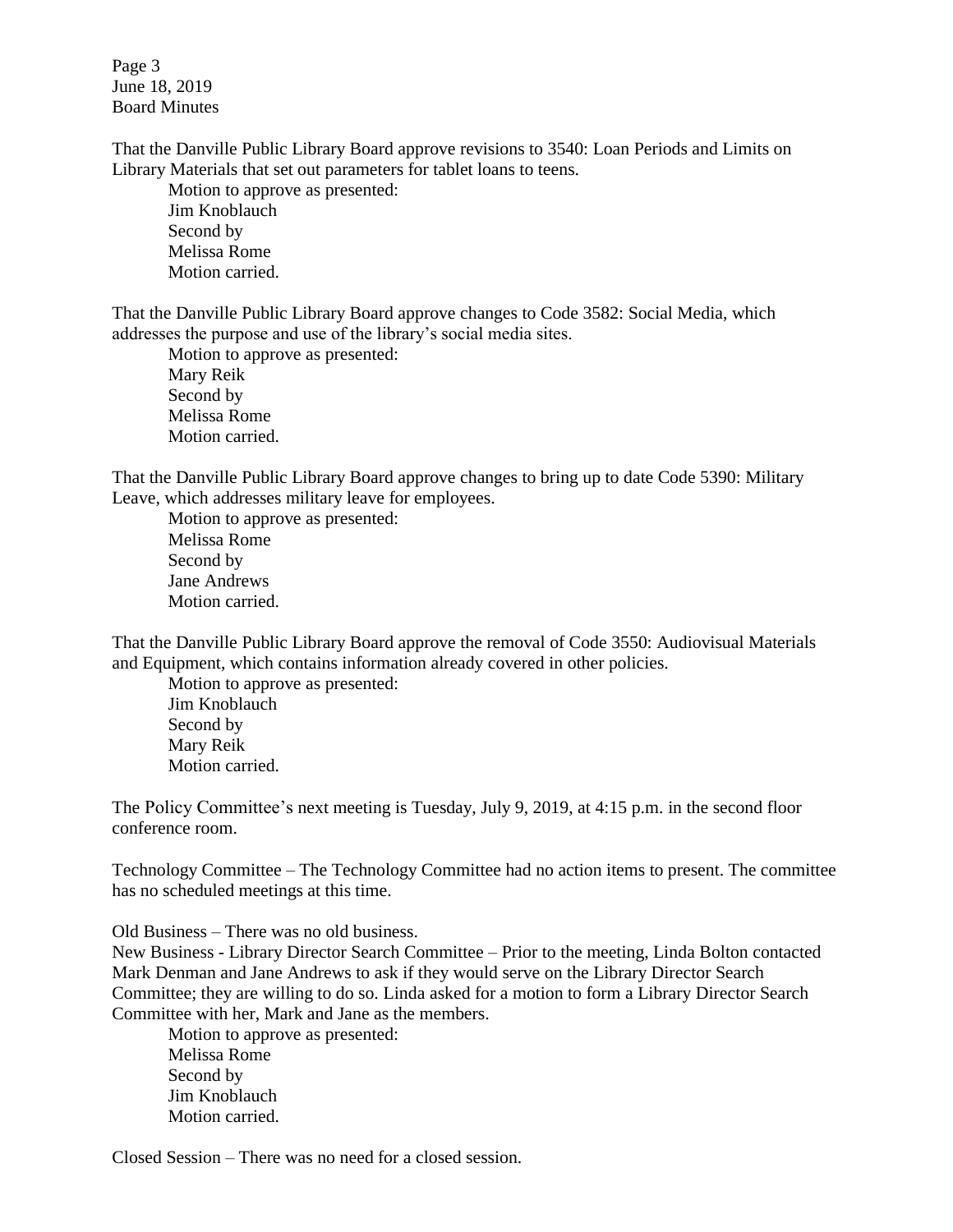Page 3 June 18, 2019 Board Minutes

That the Danville Public Library Board approve revisions to 3540: Loan Periods and Limits on Library Materials that set out parameters for tablet loans to teens.

Motion to approve as presented: Jim Knoblauch Second by Melissa Rome Motion carried.

That the Danville Public Library Board approve changes to Code 3582: Social Media, which addresses the purpose and use of the library's social media sites.

Motion to approve as presented: Mary Reik Second by Melissa Rome Motion carried.

That the Danville Public Library Board approve changes to bring up to date Code 5390: Military Leave, which addresses military leave for employees.

Motion to approve as presented: Melissa Rome Second by Jane Andrews Motion carried.

That the Danville Public Library Board approve the removal of Code 3550: Audiovisual Materials and Equipment, which contains information already covered in other policies.

Motion to approve as presented: Jim Knoblauch Second by Mary Reik Motion carried.

The Policy Committee's next meeting is Tuesday, July 9, 2019, at 4:15 p.m. in the second floor conference room.

Technology Committee – The Technology Committee had no action items to present. The committee has no scheduled meetings at this time.

Old Business – There was no old business.

New Business - Library Director Search Committee – Prior to the meeting, Linda Bolton contacted Mark Denman and Jane Andrews to ask if they would serve on the Library Director Search Committee; they are willing to do so. Linda asked for a motion to form a Library Director Search Committee with her, Mark and Jane as the members.

Motion to approve as presented: Melissa Rome Second by Jim Knoblauch Motion carried.

Closed Session – There was no need for a closed session.